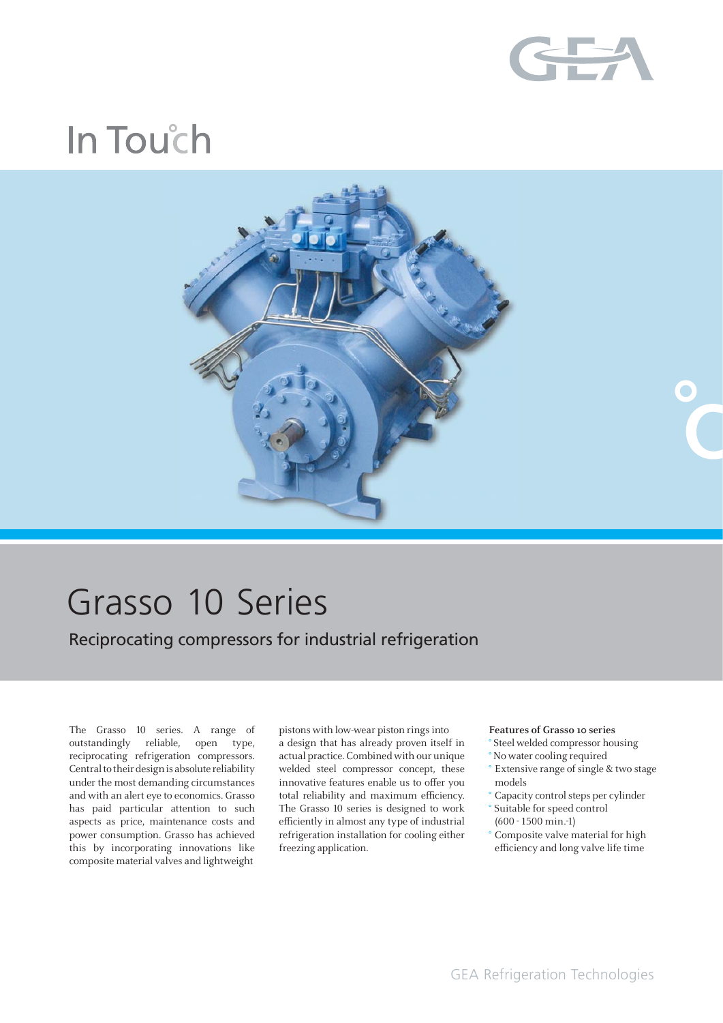

# In Touch



## Grasso 10 Series

Reciprocating compressors for industrial refrigeration

The Grasso 10 series. A range of outstandingly reliable, open type, reciprocating refrigeration compressors. Central to their design is absolute reliability under the most demanding circumstances and with an alert eye to economics. Grasso has paid particular attention to such aspects as price, maintenance costs and power consumption. Grasso has achieved this by incorporating innovations like composite material valves and lightweight

pistons with low-wear piston rings into a design that has already proven itself in actual practice. Combined with our unique welded steel compressor concept, these innovative features enable us to offer you total reliability and maximum efficiency. The Grasso 10 series is designed to work efficiently in almost any type of industrial refrigeration installation for cooling either freezing application.

#### **Features of Grasso 10 series**

- **°** Steel welded compressor housing
- **°** No water cooling required
- **°** Extensive range of single & two stage models
- **°** Capacity control steps per cylinder **°** Suitable for speed control
- (600 1500 min.-1) **°** Composite valve material for high
- efficiency and long valve life time